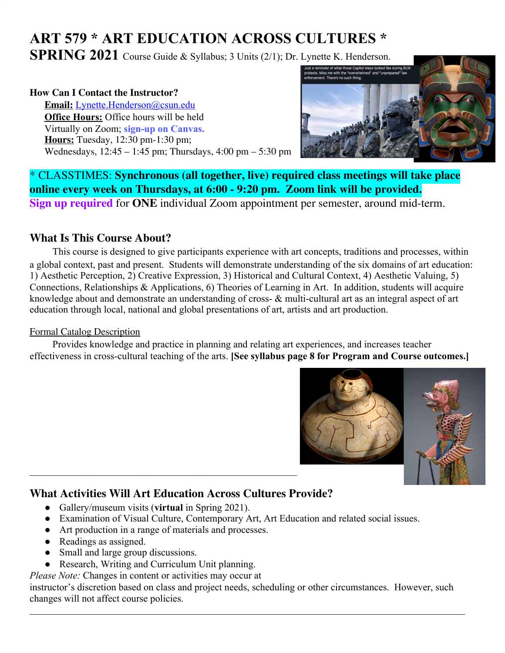# **ART 579 \* ART EDUCATION ACROSS CULTURES \***

**SPRING 2021** Course Guide & Syllabus; 3 Units (2/1); Dr. Lynette K. Henderson.

### **How Can I Contact the Instructor?**

**Email:** [Lynette.Henderson@csun.edu](mailto:Lynette.Henderson@csun.edu) **Office Hours:** Office hours will be held Virtually on Zoom; **sign-up on Canvas. Hours:** Tuesday, 12:30 pm-1:30 pm; Wednesdays, 12:45 – 1:45 pm; Thursdays, 4:00 pm – 5:30 pm



\* CLASSTIMES: **Synchronous (all together, live) required class meetings will take place online every week on Thursdays, at 6:00 - 9:20 pm. Zoom link will be provided. Sign up required** for **ONE** individual Zoom appointment per semester, around mid-term.

### **What Is This Course About?**

This course is designed to give participants experience with art concepts, traditions and processes, within a global context, past and present. Students will demonstrate understanding of the six domains of art education: 1) Aesthetic Perception, 2) Creative Expression, 3) Historical and Cultural Context, 4) Aesthetic Valuing, 5) Connections, Relationships & Applications, 6) Theories of Learning in Art. In addition, students will acquire knowledge about and demonstrate an understanding of cross- & multi-cultural art as an integral aspect of art education through local, national and global presentations of art, artists and art production.

### Formal Catalog Description

Provides knowledge and practice in planning and relating art experiences, and increases teacher effectiveness in cross-cultural teaching of the arts. **[See syllabus page 8 for Program and Course outcomes.]**



## **What Activities Will Art Education Across Cultures Provide?**

- Gallery/museum visits (**virtual** in Spring 2021).
- Examination of Visual Culture, Contemporary Art, Art Education and related social issues.
- Art production in a range of materials and processes.
- Readings as assigned.
- Small and large group discussions.
- Research, Writing and Curriculum Unit planning.
- *Please Note:* Changes in content or activities may occur at

instructor's discretion based on class and project needs, scheduling or other circumstances. However, such changes will not affect course policies.

 $\mathcal{L}_\mathcal{L} = \{ \mathcal{L}_\mathcal{L} = \{ \mathcal{L}_\mathcal{L} = \{ \mathcal{L}_\mathcal{L} = \{ \mathcal{L}_\mathcal{L} = \{ \mathcal{L}_\mathcal{L} = \{ \mathcal{L}_\mathcal{L} = \{ \mathcal{L}_\mathcal{L} = \{ \mathcal{L}_\mathcal{L} = \{ \mathcal{L}_\mathcal{L} = \{ \mathcal{L}_\mathcal{L} = \{ \mathcal{L}_\mathcal{L} = \{ \mathcal{L}_\mathcal{L} = \{ \mathcal{L}_\mathcal{L} = \{ \mathcal{L}_\mathcal{$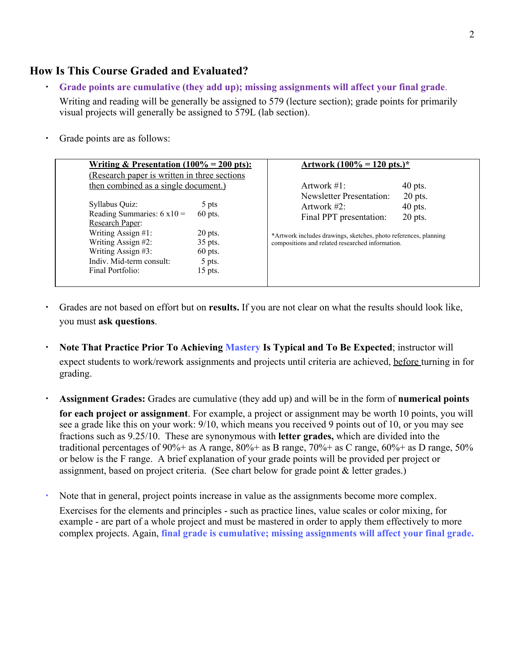### **How Is This Course Graded and Evaluated?**

- **Grade points are cumulative (they add up); missing assignments will affect your final grade**. Writing and reading will be generally be assigned to 579 (lecture section); grade points for primarily visual projects will generally be assigned to 579L (lab section).
- Grade points are as follows:

| <u>Writing &amp; Presentation (100% = 200 pts):</u>                                                                                                                                              |                                                                              | <u>Artwork (100% = 120 pts.)*</u>                                                                                                                                                                    |                                     |  |
|--------------------------------------------------------------------------------------------------------------------------------------------------------------------------------------------------|------------------------------------------------------------------------------|------------------------------------------------------------------------------------------------------------------------------------------------------------------------------------------------------|-------------------------------------|--|
| (Research paper is written in three sections)                                                                                                                                                    |                                                                              |                                                                                                                                                                                                      |                                     |  |
|                                                                                                                                                                                                  | then combined as a single document.)                                         |                                                                                                                                                                                                      | $40$ pts.                           |  |
| Syllabus Quiz:<br>Reading Summaries: $6 \times 10 =$<br><b>Research Paper:</b><br>Writing Assign #1:<br>Writing Assign #2:<br>Writing Assign #3:<br>Indiv. Mid-term consult:<br>Final Portfolio: | 5 pts<br>$60$ pts.<br>$20$ pts.<br>35 pts.<br>$60$ pts.<br>5 pts.<br>15 pts. | <b>Newsletter Presentation:</b><br>Artwork $#2$ :<br>Final PPT presentation:<br>*Artwork includes drawings, sketches, photo references, planning<br>compositions and related researched information. | $20$ pts.<br>$40$ pts.<br>$20$ pts. |  |

- Grades are not based on effort but on **results.** If you are not clear on what the results should look like, you must **ask questions**.
- **Note That Practice Prior To Achieving Mastery Is Typical and To Be Expected; instructor will** expect students to work/rework assignments and projects until criteria are achieved, before turning in for grading.
- **Assignment Grades:** Grades are cumulative (they add up) and will be in the form of **numerical points for each project or assignment**. For example, a project or assignment may be worth 10 points, you will see a grade like this on your work: 9/10, which means you received 9 points out of 10, or you may see fractions such as 9.25/10. These are synonymous with **letter grades,** which are divided into the traditional percentages of 90%+ as A range,  $80\%$ + as B range,  $70\%$ + as C range,  $60\%$ + as D range,  $50\%$ or below is the F range. A brief explanation of your grade points will be provided per project or assignment, based on project criteria. (See chart below for grade point & letter grades.)
- Note that in general, project points increase in value as the assignments become more complex. Exercises for the elements and principles - such as practice lines, value scales or color mixing, for example - are part of a whole project and must be mastered in order to apply them effectively to more complex projects. Again, **final grade is cumulative; missing assignments will affect your final grade.**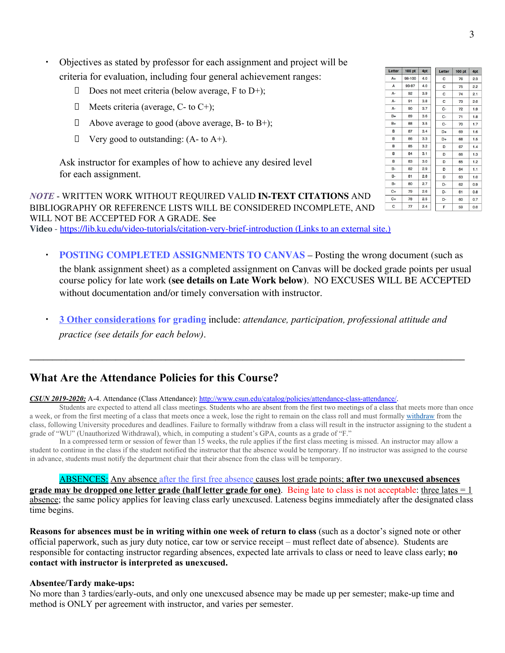- Objectives as stated by professor for each assignment and project will be criteria for evaluation, including four general achievement ranges:
	- Does not meet criteria (below average, F to D+);
	- $\Box$  Meets criteria (average, C- to C+);
	- $\Box$  Above average to good (above average, B- to B+);
	- $\Box$  Very good to outstanding: (A- to A+).

Ask instructor for examples of how to achieve any desired level for each assignment.

*NOTE* - WRITTEN WORK WITHOUT REQUIRED VALID **IN-TEXT CITATIONS** AND BIBLIOGRAPHY OR REFERENCE LISTS WILL BE CONSIDERED INCOMPLETE, AND WILL NOT BE ACCEPTED FOR A GRADE. **See**

**Video** - <https://lib.ku.edu/video-tutorials/citation-very-brief-introduction> (Links to an external site.)

- **POSTING COMPLETED ASSIGNMENTS TO CANVAS Posting the wrong document (such as** the blank assignment sheet) as a completed assignment on Canvas will be docked grade points per usual course policy for late work **(see details on Late Work below)**. NO EXCUSES WILL BE ACCEPTED without documentation and/or timely conversation with instructor.
- **3 Other considerations for grading** include: *attendance, participation, professional attitude and practice (see details for each below)*.

**\_\_\_\_\_\_\_\_\_\_\_\_\_\_\_\_\_\_\_\_\_\_\_\_\_\_\_\_\_\_\_\_\_\_\_\_\_\_\_\_\_\_\_\_\_\_\_\_\_\_\_\_\_\_\_\_\_\_\_\_\_\_\_\_\_\_\_\_\_\_\_\_\_\_\_\_\_\_\_\_\_\_\_\_\_\_\_\_\_\_\_\_\_\_\_\_**

### **What Are the Attendance Policies for this Course?**

*CSUN 2019-2020:* A-4. Attendance (Class Attendance): <http://www.csun.edu/catalog/policies/attendance-class-attendance/>.

Students are expected to attend all class meetings. Students who are absent from the first two meetings of a class that meets more than once a week, or from the first meeting of a class that meets once a week, lose the right to remain on the class roll and must formally [withdraw](http://catalog.csun.edu/policies/withdrawals-undergraduate-policy/) from the class, following University procedures and deadlines. Failure to formally withdraw from a class will result in the instructor assigning to the student a grade of "WU" (Unauthorized Withdrawal), which, in computing a student's GPA, counts as a grade of "F."

In a compressed term or session of fewer than 15 weeks, the rule applies if the first class meeting is missed. An instructor may allow a student to continue in the class if the student notified the instructor that the absence would be temporary. If no instructor was assigned to the course in advance, students must notify the department chair that their absence from the class will be temporary.

#### ABSENCES: Any absence after the first free absence causes lost grade points; **after two unexcused absences**

**grade may be dropped one letter grade (half letter grade for one)**. Being late to class is not acceptable: three lates = 1 absence; the same policy applies for leaving class early unexcused. Lateness begins immediately after the designated class time begins.

**Reasons for absences must be in writing within one week of return to class** (such as a doctor's signed note or other official paperwork, such as jury duty notice, car tow or service receipt – must reflect date of absence). Students are responsible for contacting instructor regarding absences, expected late arrivals to class or need to leave class early; **no contact with instructor is interpreted as unexcused.**

#### **Absentee/Tardy make-ups:**

No more than 3 tardies/early-outs, and only one unexcused absence may be made up per semester; make-up time and method is ONLY per agreement with instructor, and varies per semester.

| Letter   | 100 pt | 4pt | Letter | 100 pt    | 4pt    |
|----------|--------|-----|--------|-----------|--------|
| $A+$     | 98-100 | 4.0 | C      | 76        | 2.3    |
| A        | 93-97  | 4.0 | C      | 75        | 2.2    |
| А-       | 92     | 3.9 | С      | 74        | 2.1    |
| A-       | 91     | 3.8 | C      | 73        | 2.0    |
| A-       | 90     | 3.7 | c-     | 72        | 1.9    |
| $B+$     | 89     | 3.6 | C-     | 71        | 1.8    |
| $B+$     | 88     | 3.5 | c-     | 70        | 1.7    |
| B        | 87     | 3.4 | D+     | 69        | 1.6    |
| B        | 86     | 3.3 | D+     | 68        | 1.5    |
| B        | 85     | 3.2 | D      | 67        | 1.4    |
| B        | 84     | 3.1 | D      | 66        | 1.3    |
| B        | 83     | 3.0 | D      | 65        | 1.2    |
| B-       | 82     | 2.9 | D      | 64        | 1.1    |
| в.       | 81     | 2.8 | D      | 63        | 1.0    |
| в.       | 80     | 2.7 | D-     | 62        | 0.9    |
| $C+$     | 79     | 2.6 | D-     | 61        | 0.8    |
| C+       | 78     | 2.5 | D-     | 60        | 0.7    |
| $\Gamma$ | 77     | 24  | е      | <b>EO</b> | $\sim$ |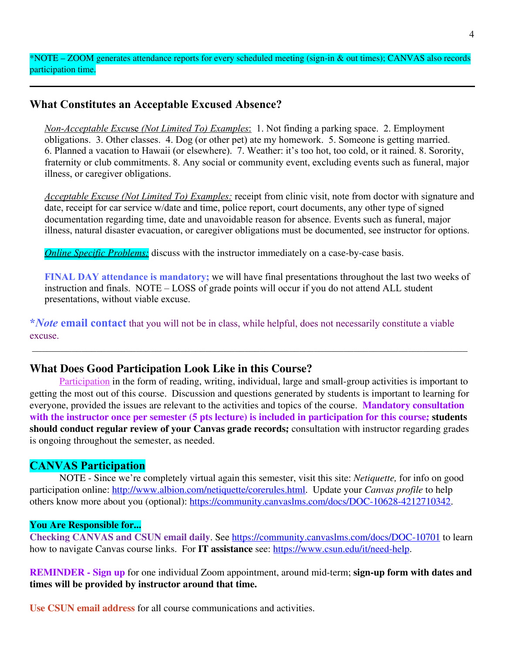\*NOTE – ZOOM generates attendance reports for every scheduled meeting (sign-in & out times); CANVAS also records participation time.

### **What Constitutes an Acceptable Excused Absence?**

*Non-Acceptable Excu*se *(Not Limited To) Examples*: 1. Not finding a parking space. 2. Employment obligations. 3. Other classes. 4. Dog (or other pet) ate my homework. 5. Someone is getting married. 6. Planned a vacation to Hawaii (or elsewhere). 7. Weather: it's too hot, too cold, or it rained. 8. Sorority, fraternity or club commitments. 8. Any social or community event, excluding events such as funeral, major illness, or caregiver obligations.

*Acceptable Excuse (Not Limited To) Examples:* receipt from clinic visit, note from doctor with signature and date, receipt for car service w/date and time, police report, court documents, any other type of signed documentation regarding time, date and unavoidable reason for absence. Events such as funeral, major illness, natural disaster evacuation, or caregiver obligations must be documented, see instructor for options.

*Online Specific Problems:* discuss with the instructor immediately on a case-by-case basis.

**FINAL DAY attendance is mandatory;** we will have final presentations throughout the last two weeks of instruction and finals. NOTE – LOSS of grade points will occur if you do not attend ALL student presentations, without viable excuse.

**\****Note* **email contact** that you will not be in class, while helpful, does not necessarily constitute a viable excuse.

\_\_\_\_\_\_\_\_\_\_\_\_\_\_\_\_\_\_\_\_\_\_\_\_\_\_\_\_\_\_\_\_\_\_\_\_\_\_\_\_\_\_\_\_\_\_\_\_\_\_\_\_\_\_\_\_\_\_\_\_\_\_\_\_\_\_\_\_\_\_\_\_\_\_\_\_\_\_\_\_\_\_\_\_\_\_\_\_

### **What Does Good Participation Look Like in this Course?**

Participation in the form of reading, writing, individual, large and small-group activities is important to getting the most out of this course. Discussion and questions generated by students is important to learning for everyone, provided the issues are relevant to the activities and topics of the course. **Mandatory consultation with the instructor once per semester (5 pts lecture) is included in participation for this course; students should conduct regular review of your Canvas grade records;** consultation with instructor regarding grades is ongoing throughout the semester, as needed.

### **CANVAS Participation**

NOTE - Since we're completely virtual again this semester, visit this site: *Netiquette,* for info on good participation online: <http://www.albion.com/netiquette/corerules.html>. Update your *Canvas profile* to help others know more about you (optional): [https://community.canvaslms.com/docs/DOC-10628-4212710342.](https://community.canvaslms.com/docs/DOC-10628-4212710342)

#### **You Are Responsible for...**

**Checking CANVAS and CSUN email daily**. See <https://community.canvaslms.com/docs/DOC-10701> to learn how to navigate Canvas course links. For **IT assistance** see: <https://www.csun.edu/it/need-help>.

**REMINDER - Sign up** for one individual Zoom appointment, around mid-term; **sign-up form with dates and times will be provided by instructor around that time.**

**Use CSUN email address** for all course communications and activities.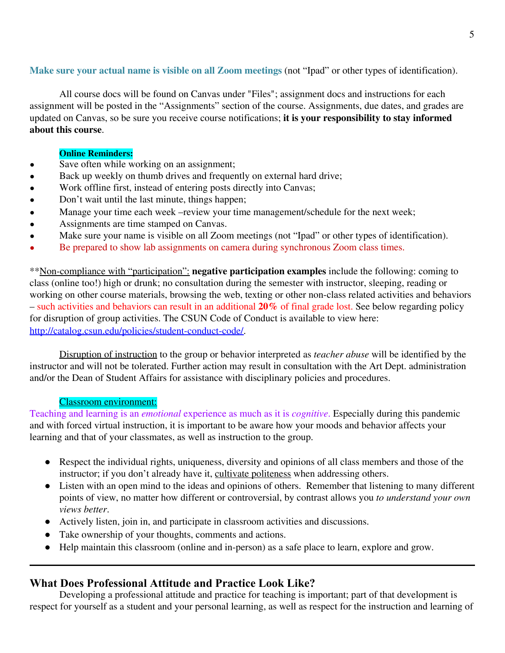### **Make sure your actual name is visible on all Zoom meetings** (not "Ipad" or other types of identification).

All course docs will be found on Canvas under "Files"; assignment docs and instructions for each assignment will be posted in the "Assignments" section of the course. Assignments, due dates, and grades are updated on Canvas, so be sure you receive course notifications; **it is your responsibility to stay informed about this course**.

#### **Online Reminders:**

- Save often while working on an assignment;
- Back up weekly on thumb drives and frequently on external hard drive;
- Work offline first, instead of entering posts directly into Canvas;
- Don't wait until the last minute, things happen;
- Manage your time each week –review your time management/schedule for the next week;
- Assignments are time stamped on Canvas.
- Make sure your name is visible on all Zoom meetings (not "Ipad" or other types of identification).
- Be prepared to show lab assignments on camera during synchronous Zoom class times.

\*\*Non-compliance with "participation": **negative participation examples** include the following: coming to class (online too!) high or drunk; no consultation during the semester with instructor, sleeping, reading or working on other course materials, browsing the web, texting or other non-class related activities and behaviors – such activities and behaviors can result in an additional **20%** of final grade lost. See below regarding policy for disruption of group activities. The CSUN Code of Conduct is available to view here: [http://catalog.csun.edu/policies/student-conduct-code/.](http://catalog.csun.edu/policies/student-conduct-code/)

Disruption of instruction to the group or behavior interpreted as *teacher abuse* will be identified by the instructor and will not be tolerated. Further action may result in consultation with the Art Dept. administration and/or the Dean of Student Affairs for assistance with disciplinary policies and procedures.

#### Classroom environment:

Teaching and learning is an *emotional* experience as much as it is *cognitive*. Especially during this pandemic and with forced virtual instruction, it is important to be aware how your moods and behavior affects your learning and that of your classmates, as well as instruction to the group.

- Respect the individual rights, uniqueness, diversity and opinions of all class members and those of the instructor; if you don't already have it, cultivate politeness when addressing others.
- Listen with an open mind to the ideas and opinions of others. Remember that listening to many different points of view, no matter how different or controversial, by contrast allows you *to understand your own views better*.
- Actively listen, join in, and participate in classroom activities and discussions.
- Take ownership of your thoughts, comments and actions.
- Help maintain this classroom (online and in-person) as a safe place to learn, explore and grow.

### **What Does Professional Attitude and Practice Look Like?**

Developing a professional attitude and practice for teaching is important; part of that development is respect for yourself as a student and your personal learning, as well as respect for the instruction and learning of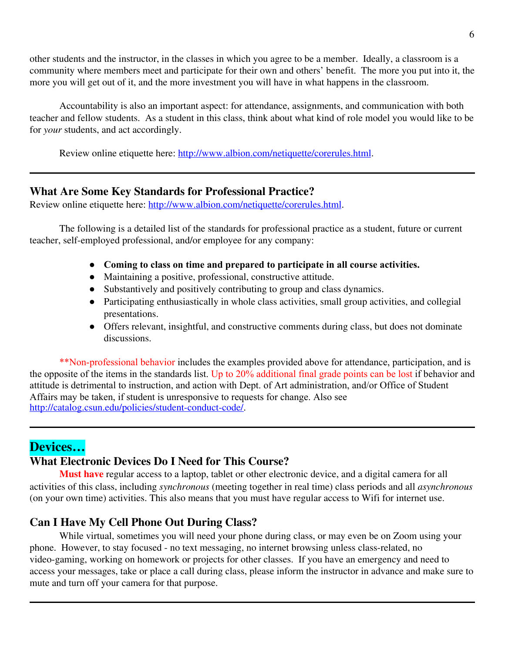other students and the instructor, in the classes in which you agree to be a member. Ideally, a classroom is a community where members meet and participate for their own and others' benefit. The more you put into it, the more you will get out of it, and the more investment you will have in what happens in the classroom.

Accountability is also an important aspect: for attendance, assignments, and communication with both teacher and fellow students. As a student in this class, think about what kind of role model you would like to be for *your* students, and act accordingly.

Review online etiquette here: <http://www.albion.com/netiquette/corerules.html>.

### **What Are Some Key Standards for Professional Practice?**

Review online etiquette here: <http://www.albion.com/netiquette/corerules.html>.

The following is a detailed list of the standards for professional practice as a student, future or current teacher, self-employed professional, and/or employee for any company:

- **Coming to class on time and prepared to participate in all course activities.**
- Maintaining a positive, professional, constructive attitude.
- Substantively and positively contributing to group and class dynamics.
- Participating enthusiastically in whole class activities, small group activities, and collegial presentations.
- Offers relevant, insightful, and constructive comments during class, but does not dominate discussions.

\*\*Non-professional behavior includes the examples provided above for attendance, participation, and is the opposite of the items in the standards list. Up to 20% additional final grade points can be lost if behavior and attitude is detrimental to instruction, and action with Dept. of Art administration, and/or Office of Student Affairs may be taken, if student is unresponsive to requests for change. Also see [http://catalog.csun.edu/policies/student-conduct-code/.](http://catalog.csun.edu/policies/student-conduct-code/)

### **Devices…**

### **What Electronic Devices Do I Need for This Course?**

**Must have** regular access to a laptop, tablet or other electronic device, and a digital camera for all activities of this class, including *synchronous* (meeting together in real time) class periods and all *asynchronous* (on your own time) activities. This also means that you must have regular access to Wifi for internet use.

### **Can I Have My Cell Phone Out During Class?**

While virtual, sometimes you will need your phone during class, or may even be on Zoom using your phone. However, to stay focused - no text messaging, no internet browsing unless class-related, no video-gaming, working on homework or projects for other classes. If you have an emergency and need to access your messages, take or place a call during class, please inform the instructor in advance and make sure to mute and turn off your camera for that purpose.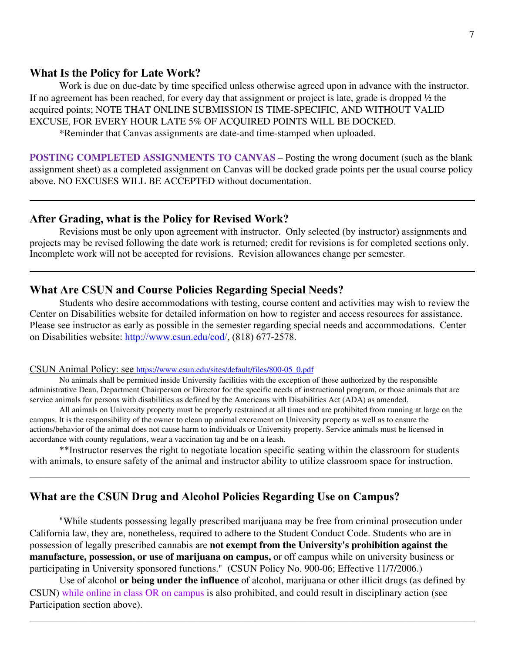#### **What Is the Policy for Late Work?**

Work is due on due-date by time specified unless otherwise agreed upon in advance with the instructor. If no agreement has been reached, for every day that assignment or project is late, grade is dropped **½** the acquired points; NOTE THAT ONLINE SUBMISSION IS TIME-SPECIFIC, AND WITHOUT VALID EXCUSE, FOR EVERY HOUR LATE 5% OF ACQUIRED POINTS WILL BE DOCKED.

\*Reminder that Canvas assignments are date-and time-stamped when uploaded.

**POSTING COMPLETED ASSIGNMENTS TO CANVAS** – Posting the wrong document (such as the blank assignment sheet) as a completed assignment on Canvas will be docked grade points per the usual course policy above. NO EXCUSES WILL BE ACCEPTED without documentation.

#### **After Grading, what is the Policy for Revised Work?**

Revisions must be only upon agreement with instructor. Only selected (by instructor) assignments and projects may be revised following the date work is returned; credit for revisions is for completed sections only. Incomplete work will not be accepted for revisions. Revision allowances change per semester.

### **What Are CSUN and Course Policies Regarding Special Needs?**

Students who desire accommodations with testing, course content and activities may wish to review the Center on Disabilities website for detailed information on how to register and access resources for assistance. Please see instructor as early as possible in the semester regarding special needs and accommodations. Center on Disabilities website: [http://www.csun.edu/cod/,](http://www.csun.edu/cod/) (818) 677-2578.

#### CSUN Animal Policy: see [https://www.csun.edu/sites/default/files/800-05\\_0.pdf](https://www.csun.edu/sites/default/files/800-05_0.pdf)

No animals shall be permitted inside University facilities with the exception of those authorized by the responsible administrative Dean, Department Chairperson or Director for the specific needs of instructional program, or those animals that are service animals for persons with disabilities as defined by the Americans with Disabilities Act (ADA) as amended.

All animals on University property must be properly restrained at all times and are prohibited from running at large on the campus. It is the responsibility of the owner to clean up animal excrement on University property as well as to ensure the actions/behavior of the animal does not cause harm to individuals or University property. Service animals must be licensed in accordance with county regulations, wear a vaccination tag and be on a leash.

\*\*Instructor reserves the right to negotiate location specific seating within the classroom for students with animals, to ensure safety of the animal and instructor ability to utilize classroom space for instruction.

 $\_$  , and the contribution of the contribution of the contribution of the contribution of the contribution of  $\mathcal{L}_\text{max}$ 

### **What are the CSUN Drug and Alcohol Policies Regarding Use on Campus?**

"While students possessing legally prescribed marijuana may be free from criminal prosecution under California law, they are, nonetheless, required to adhere to the Student Conduct Code. Students who are in possession of legally prescribed cannabis are **not exempt from the University's prohibition against the manufacture, possession, or use of marijuana on campus,** or off campus while on university business or participating in University sponsored functions." (CSUN Policy No. 900-06; Effective 11/7/2006.)

Use of alcohol **or being under the influence** of alcohol, marijuana or other illicit drugs (as defined by CSUN) while online in class OR on campus is also prohibited, and could result in disciplinary action (see Participation section above).

 $\mathcal{L}_\mathcal{L} = \mathcal{L}_\mathcal{L} = \mathcal{L}_\mathcal{L} = \mathcal{L}_\mathcal{L} = \mathcal{L}_\mathcal{L} = \mathcal{L}_\mathcal{L} = \mathcal{L}_\mathcal{L} = \mathcal{L}_\mathcal{L} = \mathcal{L}_\mathcal{L} = \mathcal{L}_\mathcal{L} = \mathcal{L}_\mathcal{L} = \mathcal{L}_\mathcal{L} = \mathcal{L}_\mathcal{L} = \mathcal{L}_\mathcal{L} = \mathcal{L}_\mathcal{L} = \mathcal{L}_\mathcal{L} = \mathcal{L}_\mathcal{L}$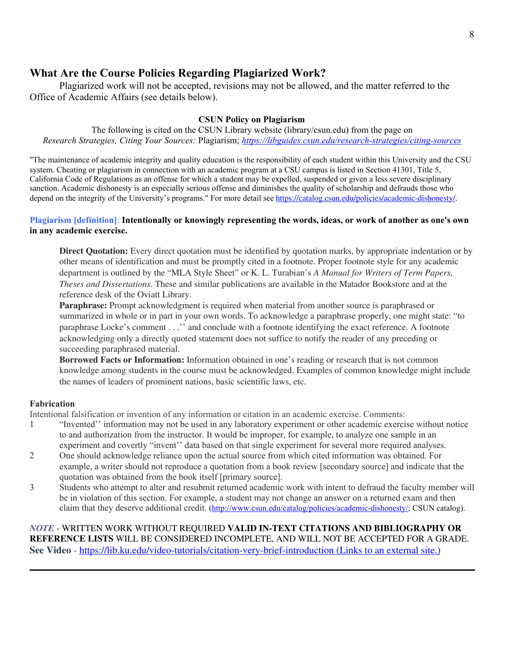### **What Are the Course Policies Regarding Plagiarized Work?**

Plagiarized work will not be accepted, revisions may not be allowed, and the matter referred to the Office of Academic Affairs (see details below).

### **CSUN Policy on Plagiarism**

The following is cited on the CSUN Library website (library/csun.edu) from the page on *Research Strategies, Citing Your Sources:* Plagiarism; *<https://libguides.csun.edu/research-strategies/citing-sources>*

"The maintenance of academic integrity and quality education is the responsibility of each student within this University and the CSU system. Cheating or plagiarism in connection with an academic program at a CSU campus is listed in Section 41301, Title 5, California Code of Regulations as an offense for which a student may be expelled, suspended or given a less severe disciplinary sanction. Academic dishonesty is an especially serious offense and diminishes the quality of scholarship and defrauds those who depend on the integrity of the University's programs." For more detail see <https://catalog.csun.edu/policies/academic-dishonesty/>.

#### Plagiarism [definition]: Intentionally or knowingly representing the words, ideas, or work of another as one's own **in any academic exercise.**

**Direct Quotation:** Every direct quotation must be identified by quotation marks, by appropriate indentation or by other means of identification and must be promptly cited in a footnote. Proper footnote style for any academic department is outlined by the "MLA Style Sheet" or K. L. Turabian's *A Manual for Writers of Term Papers, Theses and Dissertations*. These and similar publications are available in the Matador Bookstore and at the reference desk of the Oviatt Library.

**Paraphrase:** Prompt acknowledgment is required when material from another source is paraphrased or summarized in whole or in part in your own words. To acknowledge a paraphrase properly, one might state: "to paraphrase Locke's comment . . .'' and conclude with a footnote identifying the exact reference. A footnote acknowledging only a directly quoted statement does not suffice to notify the reader of any preceding or succeeding paraphrased material.

**Borrowed Facts or Information:** Information obtained in one's reading or research that is not common knowledge among students in the course must be acknowledged. Examples of common knowledge might include the names of leaders of prominent nations, basic scientific laws, etc.

### **Fabrication**

Intentional falsification or invention of any information or citation in an academic exercise. Comments:

- 1 "Invented'' information may not be used in any laboratory experiment or other academic exercise without notice to and authorization from the instructor. It would be improper, for example, to analyze one sample in an experiment and covertly "invent'' data based on that single experiment for several more required analyses.
- 2 One should acknowledge reliance upon the actual source from which cited information was obtained. For example, a writer should not reproduce a quotation from a book review [secondary source] and indicate that the quotation was obtained from the book itself [primary source].
- 3 Students who attempt to alter and resubmit returned academic work with intent to defraud the faculty member will be in violation of this section. For example, a student may not change an answer on a returned exam and then claim that they deserve additional credit. (<http://www.csun.edu/catalog/policies/academic-dishonesty/>; CSUN catalog).

*NOTE* - WRITTEN WORK WITHOUT REQUIRED **VALID IN-TEXT CITATIONS AND BIBLIOGRAPHY OR REFERENCE LISTS** WILL BE CONSIDERED INCOMPLETE, AND WILL NOT BE ACCEPTED FOR A GRADE. **See Video** - [https://lib.ku.edu/video-tutorials/citation-very-brief-introduction \(Links to an external site.\)](https://lib.ku.edu/video-tutorials/citation-very-brief-introduction)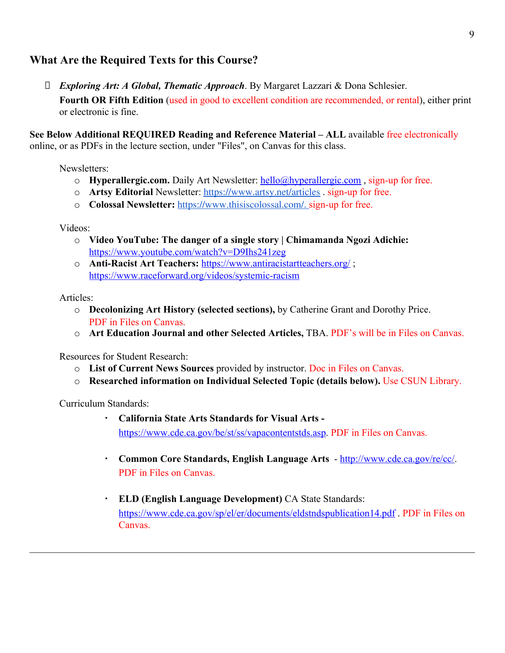### **What Are the Required Texts for this Course?**

 *Exploring Art: A Global, Thematic Approach*. By Margaret Lazzari & Dona Schlesier. Fourth OR Fifth Edition *(used in good to excellent condition are recommended, or rental), either print* or electronic is fine.

**See Below Additional REQUIRED Reading and Reference Material – ALL** available free electronically online, or as PDFs in the lecture section, under "Files", on Canvas for this class.

Newsletters:

- o **Hyperallergic.com.** Daily Art Newsletter: [hello@hyperallergic.com](mailto:hello@hyperallergic.com) , sign-up for free.
- o **Artsy Editorial** Newsletter: <https://www.artsy.net/articles> . sign-up for free.
- o **Colossal Newsletter:** [https://www.thisiscolossal.com/.](https://www.thisiscolossal.com/) sign-up for free.

Videos:

- o **Video YouTube: The danger of a single story | Chimamanda Ngozi Adichie:** <https://www.youtube.com/watch?v=D9Ihs241zeg>
- o **Anti-Racist Art Teachers:** <https://www.antiracistartteachers.org/>; <https://www.raceforward.org/videos/systemic-racism>

Articles:

- o **Decolonizing Art History (selected sections),** by Catherine Grant and Dorothy Price. PDF in Files on Canvas.
- o **Art Education Journal and other Selected Articles,** TBA. PDF's will be in Files on Canvas.

Resources for Student Research:

- o **List of Current News Sources** provided by instructor. Doc in Files on Canvas.
- o **Researched information on Individual Selected Topic (details below).** Use CSUN Library.

Curriculum Standards:

▪ **California State Arts Standards for Visual Arts**  <https://www.cde.ca.gov/be/st/ss/vapacontentstds.asp>. PDF in Files on Canvas.

 $\mathcal{L}_\mathcal{L} = \mathcal{L}_\mathcal{L} = \mathcal{L}_\mathcal{L} = \mathcal{L}_\mathcal{L} = \mathcal{L}_\mathcal{L} = \mathcal{L}_\mathcal{L} = \mathcal{L}_\mathcal{L} = \mathcal{L}_\mathcal{L} = \mathcal{L}_\mathcal{L} = \mathcal{L}_\mathcal{L} = \mathcal{L}_\mathcal{L} = \mathcal{L}_\mathcal{L} = \mathcal{L}_\mathcal{L} = \mathcal{L}_\mathcal{L} = \mathcal{L}_\mathcal{L} = \mathcal{L}_\mathcal{L} = \mathcal{L}_\mathcal{L}$ 

- **Common Core Standards, English Language Arts** -<http://www.cde.ca.gov/re/cc/>. PDF in Files on Canvas.
- **ELD (English Language Development)** CA State Standards: <https://www.cde.ca.gov/sp/el/er/documents/eldstndspublication14.pdf> . PDF in Files on Canvas.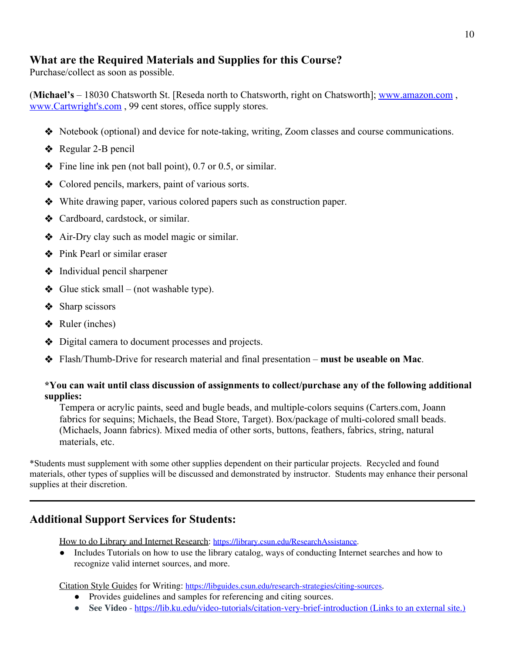### **What are the Required Materials and Supplies for this Course?**

Purchase/collect as soon as possible.

(**Michael's** – 18030 Chatsworth St. [Reseda north to Chatsworth, right on Chatsworth]; [www.amazon.com](http://www.amazon.com/) , www.Cartwright's.com , 99 cent stores, office supply stores.

- ❖ Notebook (optional) and device for note-taking, writing, Zoom classes and course communications.
- ❖ Regular 2-B pencil
- $\bullet$  Fine line ink pen (not ball point), 0.7 or 0.5, or similar.
- ❖ Colored pencils, markers, paint of various sorts.
- ❖ White drawing paper, various colored papers such as construction paper.
- ❖ Cardboard, cardstock, or similar.
- ❖ Air-Dry clay such as model magic or similar.
- ❖ Pink Pearl or similar eraser
- ❖ Individual pencil sharpener
- $\triangleleft$  Glue stick small (not washable type).
- **❖** Sharp scissors
- $\triangleleft$  Ruler (inches)
- ❖ Digital camera to document processes and projects.
- ❖ Flash/Thumb-Drive for research material and final presentation **must be useable on Mac**.

### **\*You can wait until class discussion of assignments to collect/purchase any of the following additional supplies:**

Tempera or acrylic paints, seed and bugle beads, and multiple-colors sequins (Carters.com, Joann fabrics for sequins; Michaels, the Bead Store, Target). Box/package of multi-colored small beads. (Michaels, Joann fabrics). Mixed media of other sorts, buttons, feathers, fabrics, string, natural materials, etc.

\*Students must supplement with some other supplies dependent on their particular projects. Recycled and found materials, other types of supplies will be discussed and demonstrated by instructor. Students may enhance their personal supplies at their discretion.

### **Additional Support Services for Students:**

How to do Library and Internet Research: [https://library.csun.edu/ResearchAssistance.](https://library.csun.edu/ResearchAssistance)

● Includes Tutorials on how to use the library catalog, ways of conducting Internet searches and how to recognize valid internet sources, and more.

Citation Style Guides for Writing: <https://libguides.csun.edu/research-strategies/citing-sources>.

- Provides guidelines and samples for referencing and citing sources.
- **See Video** <https://lib.ku.edu/video-tutorials/citation-very-brief-introduction> (Links to an external site.)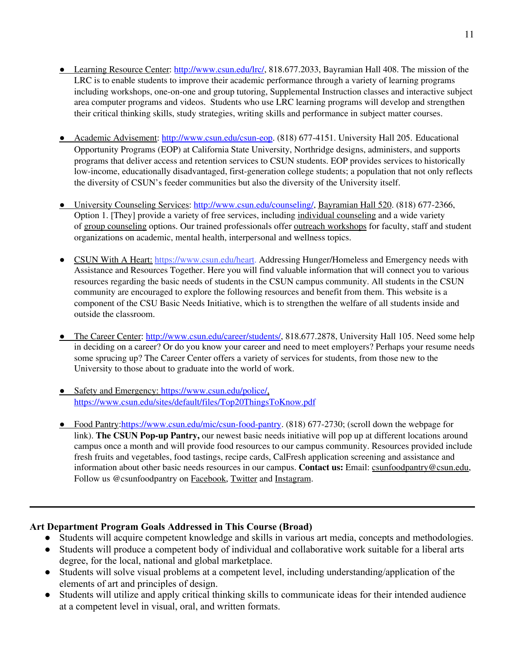- Learning Resource Center: <http://www.csun.edu/lrc/>, 818.677.2033, Bayramian Hall 408. The mission of the LRC is to enable students to improve their academic performance through a variety of learning programs including workshops, one-on-one and group tutoring, Supplemental Instruction classes and interactive subject area computer programs and videos. Students who use LRC learning programs will develop and strengthen their critical thinking skills, study strategies, writing skills and performance in subject matter courses.
- Academic Advisement: [http://www.csun.edu/csun-eop.](http://www.csun.edu/csun-eop) (818) 677-4151. University Hall 205. Educational Opportunity Programs (EOP) at California State University, Northridge designs, administers, and supports programs that deliver access and retention services to CSUN students. EOP provides services to historically low-income, educationally disadvantaged, first-generation college students; a population that not only reflects the diversity of CSUN's feeder communities but also the diversity of the University itself.
- University Counseling Services: <http://www.csun.edu/counseling/>, Bayramian Hall 520. (818) 677-2366, Option 1. [They] provide a variety of free services, including individual [counseling](http://www.csun.edu/counseling/available-services) and a wide variety of group [counseling](http://www.csun.edu/counseling/therapy-groups) options. Our trained professionals offer outreach [workshops](http://www.csun.edu/counseling/outreach-workshops) for faculty, staff and student organizations on academic, mental health, interpersonal and wellness topics.
- CSUN With A Heart: <https://www.csun.edu/heart>. Addressing Hunger/Homeless and Emergency needs with Assistance and Resources Together. Here you will find valuable information that will connect you to various resources regarding the basic needs of students in the CSUN campus community. All students in the CSUN community are encouraged to explore the following resources and benefit from them. This website is a component of the CSU Basic Needs Initiative, which is to strengthen the welfare of all students inside and outside the classroom.
- The Career Center: <http://www.csun.edu/career/students/>, 818.677.2878, University Hall 105. Need some help in deciding on a career? Or do you know your career and need to meet employers? Perhaps your resume needs some sprucing up? The Career Center offers a variety of services for students, from those new to the University to those about to graduate into the world of work.
- Safety and Emergency: <https://www.csun.edu/police/>, <https://www.csun.edu/sites/default/files/Top20ThingsToKnow.pdf>
- Food Pantry[:https://www.csun.edu/mic/csun-food-pantry](https://www.csun.edu/mic/csun-food-pantry). (818) 677-2730; (scroll down the webpage for link). **The CSUN Pop-up Pantry,** our newest basic needs initiative will pop up at different locations around campus once a month and will provide food resources to our campus community. Resources provided include fresh fruits and vegetables, food tastings, recipe cards, CalFresh application screening and assistance and information about other basic needs resources in our campus. **Contact us:** Email: [csunfoodpantry@csun.edu](mailto:csunfoodpantry@csun.edu), Follow us @csunfoodpantry on [Facebook](https://www.facebook.com/csunfoodpantry/), [Twitter](https://twitter.com/csunfoodpantry/) and [Instagram](https://www.instagram.com/csunfoodpantry/).

### **Art Department Program Goals Addressed in This Course (Broad)**

- Students will acquire competent knowledge and skills in various art media, concepts and methodologies.
- Students will produce a competent body of individual and collaborative work suitable for a liberal arts degree, for the local, national and global marketplace.
- Students will solve visual problems at a competent level, including understanding/application of the elements of art and principles of design.
- Students will utilize and apply critical thinking skills to communicate ideas for their intended audience at a competent level in visual, oral, and written formats.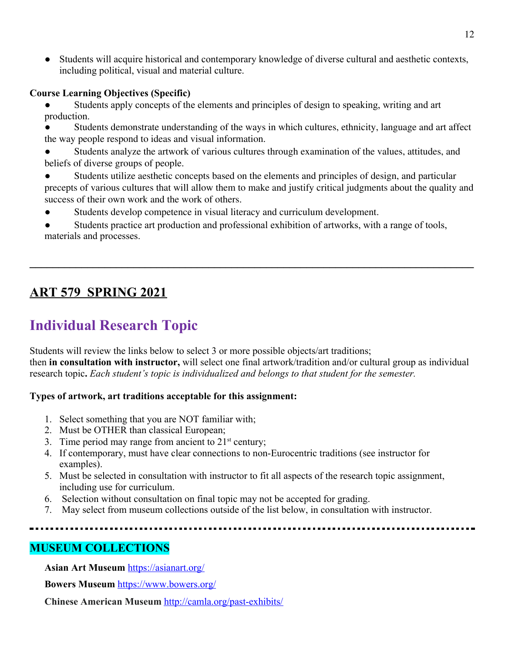Students will acquire historical and contemporary knowledge of diverse cultural and aesthetic contexts, including political, visual and material culture.

### **Course Learning Objectives (Specific)**

- Students apply concepts of the elements and principles of design to speaking, writing and art production.
- Students demonstrate understanding of the ways in which cultures, ethnicity, language and art affect the way people respond to ideas and visual information.
- Students analyze the artwork of various cultures through examination of the values, attitudes, and beliefs of diverse groups of people.
- Students utilize aesthetic concepts based on the elements and principles of design, and particular precepts of various cultures that will allow them to make and justify critical judgments about the quality and success of their own work and the work of others.
- Students develop competence in visual literacy and curriculum development.
- Students practice art production and professional exhibition of artworks, with a range of tools, materials and processes.

**\_\_\_\_\_\_\_\_\_\_\_\_\_\_\_\_\_\_\_\_\_\_\_\_\_\_\_\_\_\_\_\_\_\_\_\_\_\_\_\_\_\_\_\_\_\_\_\_\_\_\_\_\_\_\_\_\_\_\_\_\_\_\_\_\_\_\_\_\_\_\_\_\_\_\_\_\_**

## **ART 579 SPRING 2021**

# **Individual Research Topic**

Students will review the links below to select 3 or more possible objects/art traditions; then **in consultation with instructor,** will select one final artwork/tradition and/or cultural group as individual research topic**.** *Each student's topic is individualized and belongs to that student for the semester.*

### **Types of artwork, art traditions acceptable for this assignment:**

- 1. Select something that you are NOT familiar with;
- 2. Must be OTHER than classical European;
- 3. Time period may range from ancient to  $21<sup>st</sup>$  century;
- 4. If contemporary, must have clear connections to non-Eurocentric traditions (see instructor for examples).
- 5. Must be selected in consultation with instructor to fit all aspects of the research topic assignment, including use for curriculum.
- 6. Selection without consultation on final topic may not be accepted for grading.
- 7. May select from museum collections outside of the list below, in consultation with instructor.

## **MUSEUM COLLECTIONS**

**Asian Art Museum** <https://asianart.org/>

**Bowers Museum** <https://www.bowers.org/>

**Chinese American Museum** <http://camla.org/past-exhibits/>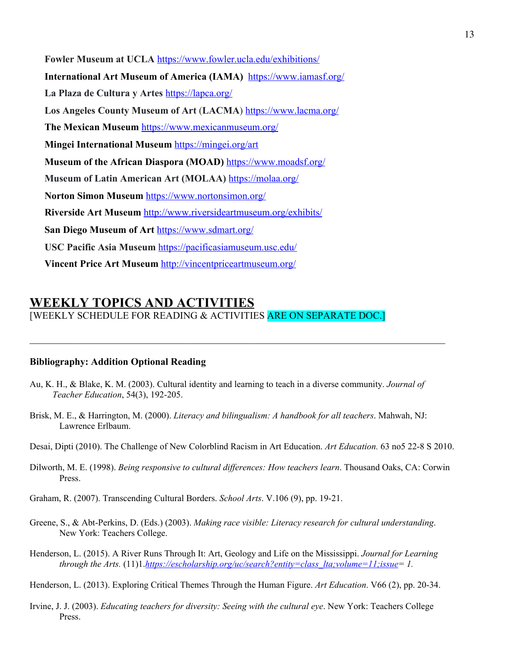**Fowler Museum at UCLA** <https://www.fowler.ucla.edu/exhibitions/> **International Art Museum of America (IAMA)** <https://www.iamasf.org/> La Plaza de Cultura y Artes <https://lapca.org/> **Los Angeles County Museum of Art** (**LACMA**) <https://www.lacma.org/> **The Mexican Museum** <https://www.mexicanmuseum.org/> **Mingei International Museum** <https://mingei.org/art> **Museum of the African Diaspora (MOAD)** <https://www.moadsf.org/> **Museum of Latin American Art (MOLAA)** <https://molaa.org/> **Norton Simon Museum** <https://www.nortonsimon.org/> **Riverside Art Museum** <http://www.riversideartmuseum.org/exhibits/> **San Diego Museum of Art** <https://www.sdmart.org/> **USC Pacific Asia Museum** <https://pacificasiamuseum.usc.edu/> **Vincent Price Art Museum** <http://vincentpriceartmuseum.org/>

## **WEEKLY TOPICS AND ACTIVITIES**

[WEEKLY SCHEDULE FOR READING & ACTIVITIES ARE ON SEPARATE DOC.]

#### **Bibliography: Addition Optional Reading**

Au, K. H., & Blake, K. M. (2003). Cultural identity and learning to teach in a diverse community. *Journal of Teacher Education*, 54(3), 192-205.

 $\mathcal{L}_\mathcal{L} = \{ \mathcal{L}_\mathcal{L} = \{ \mathcal{L}_\mathcal{L} = \{ \mathcal{L}_\mathcal{L} = \{ \mathcal{L}_\mathcal{L} = \{ \mathcal{L}_\mathcal{L} = \{ \mathcal{L}_\mathcal{L} = \{ \mathcal{L}_\mathcal{L} = \{ \mathcal{L}_\mathcal{L} = \{ \mathcal{L}_\mathcal{L} = \{ \mathcal{L}_\mathcal{L} = \{ \mathcal{L}_\mathcal{L} = \{ \mathcal{L}_\mathcal{L} = \{ \mathcal{L}_\mathcal{L} = \{ \mathcal{L}_\mathcal{$ 

- Brisk, M. E., & Harrington, M. (2000). *Literacy and bilingualism: A handbook for all teachers*. Mahwah, NJ: Lawrence Erlbaum.
- Desai, Dipti (2010). The Challenge of New Colorblind Racism in Art Education. *Art Education.* 63 no5 22-8 S 2010.
- Dilworth, M. E. (1998). *Being responsive to cultural dif erences: How teachers learn*. Thousand Oaks, CA: Corwin Press.
- Graham, R. (2007). Transcending Cultural Borders. *School Arts*. V.106 (9), pp. 19-21.
- Greene, S., & Abt-Perkins, D. (Eds.) (2003). *Making race visible: Literacy research for cultural understanding*. New York: Teachers College.
- Henderson, L. (2015). A River Runs Through It: Art, Geology and Life on the Mississippi. *Journal for Learning through the Arts.* (11)1.*[https://escholarship.org/uc/search?entity=class\\_lta;volume=11;issue](https://escholarship.org/uc/search?entity=class_lta;volume=11;issue)= 1.*

Henderson, L. (2013). Exploring Critical Themes Through the Human Figure. *Art Education*. V66 (2), pp. 20-34.

Irvine, J. J. (2003). *Educating teachers for diversity: Seeing with the cultural eye*. New York: Teachers College Press.